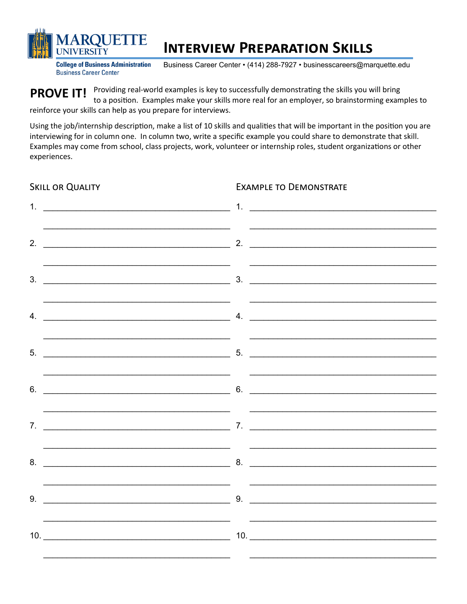

# **INTERVIEW PREPARATION SKILLS**

**College of Business Administration Business Career Center** 

Business Career Center • (414) 288-7927 • businesscareers@marquette.edu

**EXAMPLE TO DEMONSTRATE** 

PROVE IT! Providing real-world examples is key to successfully demonstrating the skills you will bring to a position. Examples make your skills more real for an employer, so brainstorming examples to reinforce your skills can help as you prepare for interviews.

Using the job/internship description, make a list of 10 skills and qualities that will be important in the position you are interviewing for in column one. In column two, write a specific example you could share to demonstrate that skill. Examples may come from school, class projects, work, volunteer or internship roles, student organizations or other experiences.

**SKILL OR QUALITY** 1.  $\frac{1}{2}$  1.  $2.$  $5.$  $6.$  $9.$  9.  $10.$   $10.$